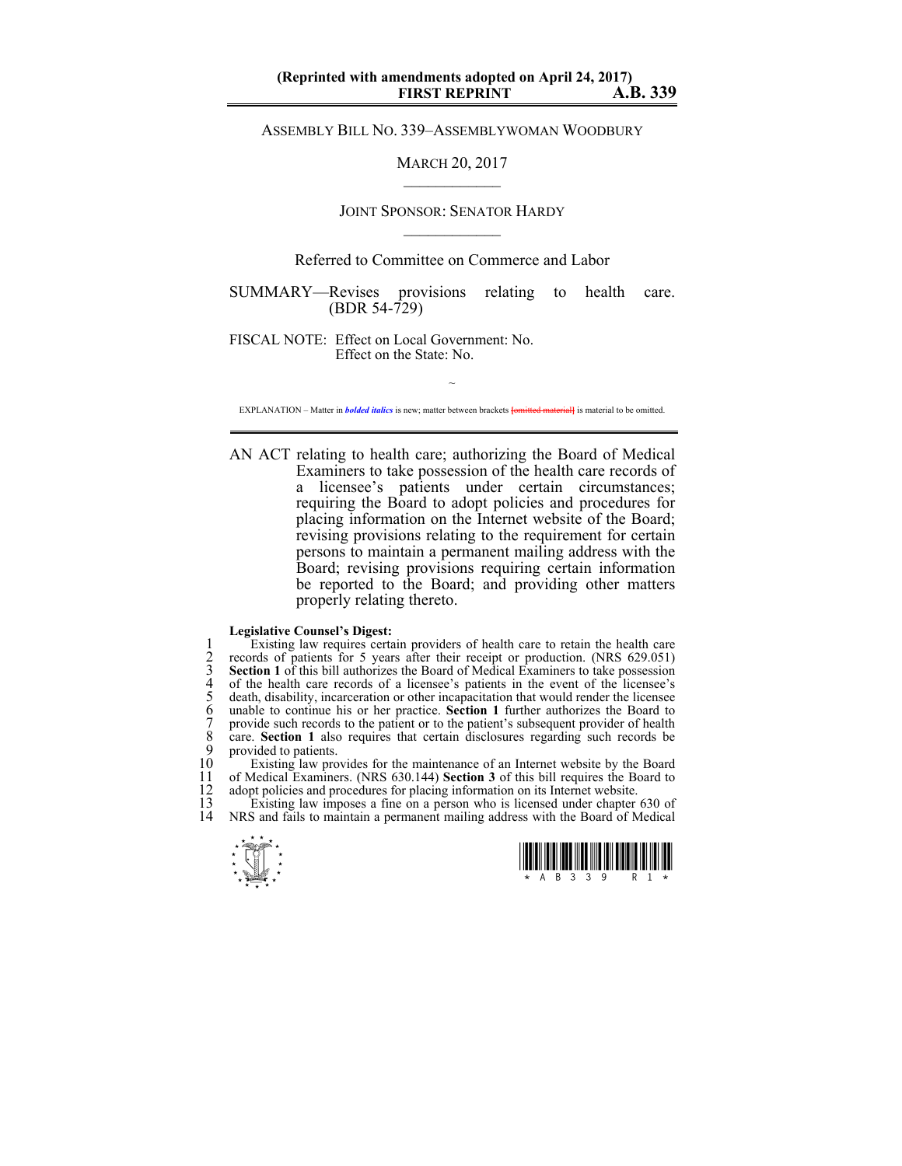ASSEMBLY BILL NO. 339–ASSEMBLYWOMAN WOODBURY

MARCH 20, 2017  $\mathcal{L}_\text{max}$ 

## JOINT SPONSOR: SENATOR HARDY  $\mathcal{L}_\text{max}$

## Referred to Committee on Commerce and Labor

SUMMARY—Revises provisions relating to health care. (BDR 54-729)

FISCAL NOTE: Effect on Local Government: No. Effect on the State: No.

~ EXPLANATION – Matter in *bolded italics* is new; matter between brackets **[**omitted material**]** is material to be omitted.

AN ACT relating to health care; authorizing the Board of Medical Examiners to take possession of the health care records of a licensee's patients under certain circumstances; requiring the Board to adopt policies and procedures for placing information on the Internet website of the Board; revising provisions relating to the requirement for certain persons to maintain a permanent mailing address with the Board; revising provisions requiring certain information be reported to the Board; and providing other matters properly relating thereto.

## **Legislative Counsel's Digest:**

Existing law requires certain providers of health care to retain the health care<br>
cerords of patients for 5 years after their receipt or production. (NRS 629.051)<br> **Section 1** of this bill authorizes the Board of Medical E 2 records of patients for 5 years after their receipt or production. (NRS 629.051) Section 1 of this bill authorizes the Board of Medical Examiners to take possession of the health care records of a licensee's patients in the event of the licensee's 5 death, disability, incarceration or other incapacitation that would render the licensee 6 unable to continue his or her practice. **Section 1** further authorizes the Board to provide such records to the patient or to the patient's subsequent provider of health care. **Section 1** also requires that certain disclosures regarding such records be 9 provided to patients.<br>10 Existing law pro

10 Existing law provides for the maintenance of an Internet website by the Board<br>11 of Medical Examiners. (NRS 630.144) Section 3 of this bill requires the Board to 11 of Medical Examiners. (NRS 630.144) **Section 3** of this bill requires the Board to 12 adopt policies and procedures for placing information on its Internet website.<br>13 Existing law imposes a fine on a person who is licensed under chapter

13 Existing law imposes a fine on a person who is licensed under chapter 630 of 14 NRS and fails to maintain a permanent mailing address with the Board of Medical NRS and fails to maintain a permanent mailing address with the Board of Medical



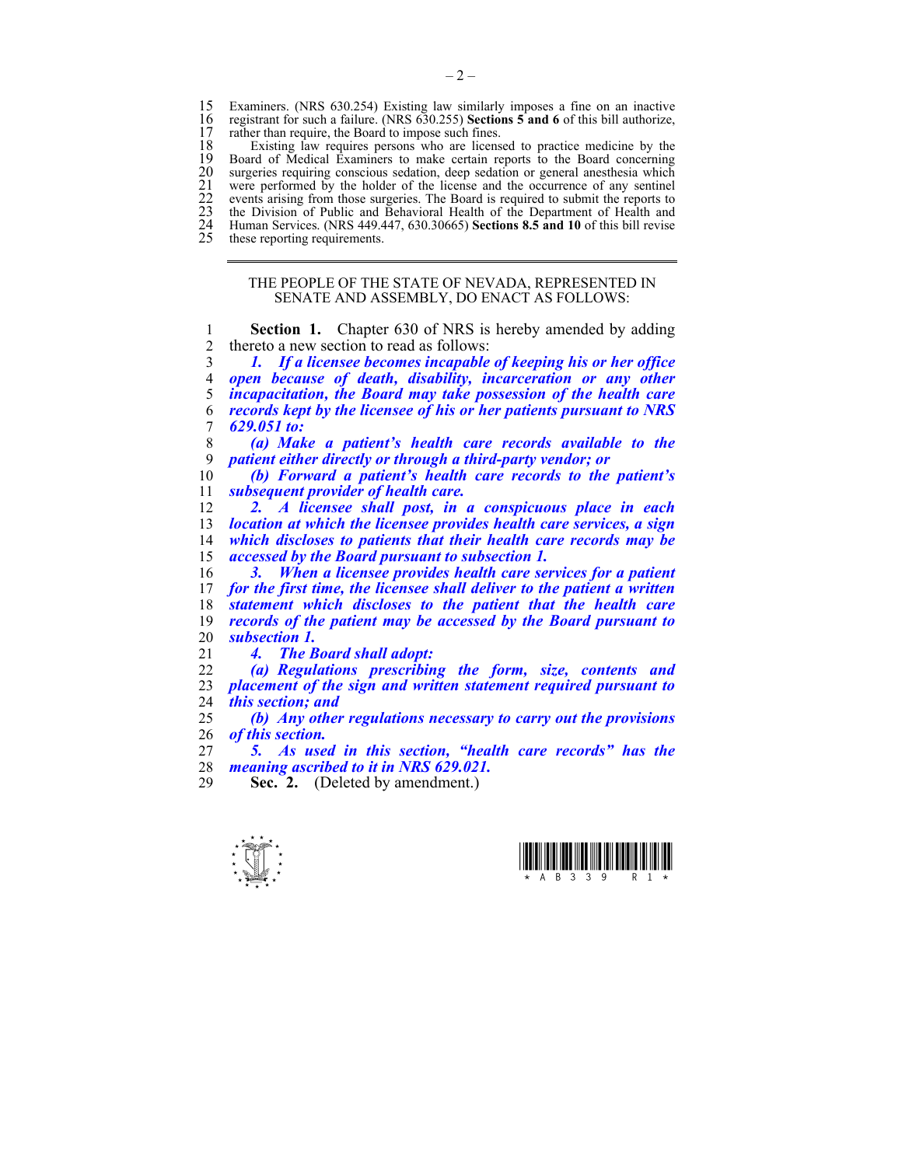15 Examiners. (NRS 630.254) Existing law similarly imposes a fine on an inactive 16 registrant for such a failure. (NRS 630.255) Sections 5 and 6 of this bill authorize, 16 registrant for such a failure. (NRS 630.255) **Sections 5 and 6** of this bill authorize, 17 rather than require, the Board to impose such fines.<br>18 Existing law requires persons who are licens

18 Existing law requires persons who are licensed to practice medicine by the 19 Board of Medical Examiners to make certain reports to the Board concerning 19 Board of Medical Examiners to make certain reports to the Board concerning<br>20 surgeries requiring conscious sedation, deep sedation or general anesthesia which<br>21 were performed by the holder of the license and the occu surgeries requiring conscious sedation, deep sedation or general anesthesia which were performed by the holder of the license and the occurrence of any sentinel 22 events arising from those surgeries. The Board is required to submit the reports to 23 the Division of Public and Behavioral Health of the Department of Health and 24 Human Services. (NRS 449.447, 630.30665) **Sections 8.5 and 10** of this bill revise these reporting requirements.

THE PEOPLE OF THE STATE OF NEVADA, REPRESENTED IN

SENATE AND ASSEMBLY, DO ENACT AS FOLLOWS:

**Section 1.** Chapter 630 of NRS is hereby amended by adding 2 thereto a new section to read as follows: *1. If a licensee becomes incapable of keeping his or her office open because of death, disability, incarceration or any other incapacitation, the Board may take possession of the health care records kept by the licensee of his or her patients pursuant to NRS 629.051 to: (a) Make a patient's health care records available to the patient either directly or through a third-party vendor; or (b) Forward a patient's health care records to the patient's subsequent provider of health care. 2. A licensee shall post, in a conspicuous place in each location at which the licensee provides health care services, a sign which discloses to patients that their health care records may be accessed by the Board pursuant to subsection 1. 3. When a licensee provides health care services for a patient for the first time, the licensee shall deliver to the patient a written statement which discloses to the patient that the health care records of the patient may be accessed by the Board pursuant to subsection 1. 4. The Board shall adopt: (a) Regulations prescribing the form, size, contents and placement of the sign and written statement required pursuant to this section; and (b) Any other regulations necessary to carry out the provisions of this section.* 

*5. As used in this section, "health care records" has the meaning ascribed to it in NRS 629.021.* 

**Sec. 2.** (Deleted by amendment.)



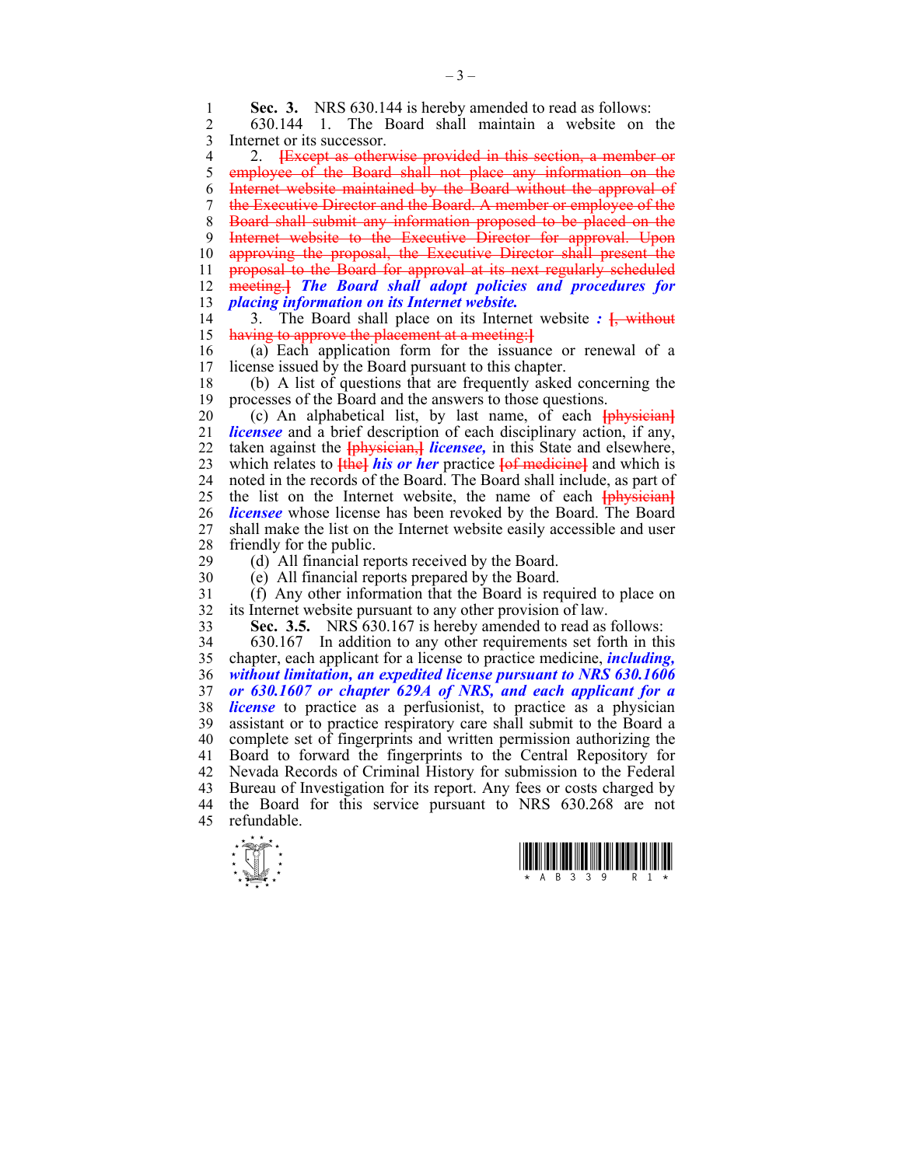**Sec. 3.** NRS 630.144 is hereby amended to read as follows:<br>2 630.144 1 The Board shall maintain a website on 2 630.144 1. The Board shall maintain a website on the 3 Internet or its successor. 4 2. **[**Except as otherwise provided in this section, a member or employee of the Board shall not place any information on the 6 Internet website maintained by the Board without the approval of 7 the Executive Director and the Board. A member or employee of the 8 Board shall submit any information proposed to be placed on the 9 Internet website to the Executive Director for approval. Upon 10 approving the proposal, the Executive Director shall present the 11 proposal to the Board for approval at its next regularly scheduled 12 meeting.**]** *The Board shall adopt policies and procedures for* 

13 *placing information on its Internet website.* 14 3. The Board shall place on its Internet website *:* **[**, without

15 having to approve the placement at a meeting:**]**

16 (a) Each application form for the issuance or renewal of a license issued by the Board pursuant to this chapter.

18 (b) A list of questions that are frequently asked concerning the 19 processes of the Board and the answers to those questions.

20 (c) An alphabetical list, by last name, of each **[**physician**]** 21 *licensee* and a brief description of each disciplinary action, if any, 22 taken against the **[**physician,**]** *licensee,* in this State and elsewhere, 23 which relates to **[**the**]** *his or her* practice **[**of medicine**]** and which is 24 noted in the records of the Board. The Board shall include, as part of 25 the list on the Internet website, the name of each **[**physician**]** 26 *licensee* whose license has been revoked by the Board. The Board 27 shall make the list on the Internet website easily accessible and user 28 friendly for the public.

29 (d) All financial reports received by the Board.

30 (e) All financial reports prepared by the Board.

31 (f) Any other information that the Board is required to place on 32 its Internet website pursuant to any other provision of law.

33 **Sec. 3.5.** NRS 630.167 is hereby amended to read as follows:

34 630.167 In addition to any other requirements set forth in this 35 chapter, each applicant for a license to practice medicine, *including,*  36 *without limitation, an expedited license pursuant to NRS 630.1606*  37 *or 630.1607 or chapter 629A of NRS, and each applicant for a*  38 *license* to practice as a perfusionist, to practice as a physician 39 assistant or to practice respiratory care shall submit to the Board a 40 complete set of fingerprints and written permission authorizing the 41 Board to forward the fingerprints to the Central Repository for 42 Nevada Records of Criminal History for submission to the Federal 43 Bureau of Investigation for its report. Any fees or costs charged by 44 the Board for this service pursuant to NRS 630.268 are not 45 refundable.



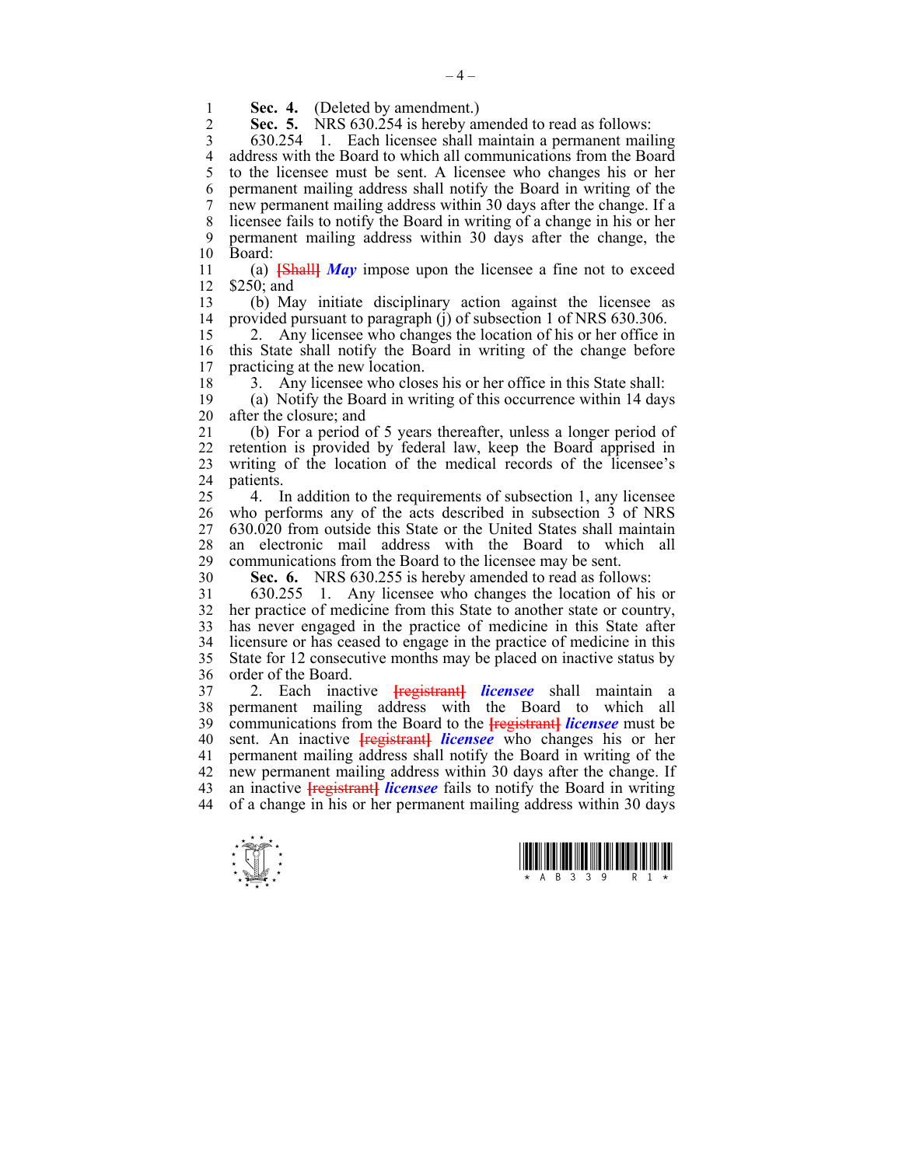1 **Sec. 4.** (Deleted by amendment.)<br>2 **Sec. 5.** NRS 630 254 is hereby an

**Sec. 5.** NRS 630.254 is hereby amended to read as follows:

3 630.254 1. Each licensee shall maintain a permanent mailing 4 address with the Board to which all communications from the Board<br>5 to the licensee must be sent. A licensee who changes his or her 5 to the licensee must be sent. A licensee who changes his or her 6 permanent mailing address shall notify the Board in writing of the 7 new permanent mailing address within 30 days after the change. If a 8 licensee fails to notify the Board in writing of a change in his or her 9 permanent mailing address within 30 days after the change, the 10 Board:

11 (a) **[**Shall**]** *May* impose upon the licensee a fine not to exceed 12 \$250; and

13 (b) May initiate disciplinary action against the licensee as provided pursuant to paragraph (j) of subsection 1 of NRS 630.306.

15 2. Any licensee who changes the location of his or her office in 16 this State shall notify the Board in writing of the change before 17 practicing at the new location.

18 3. Any licensee who closes his or her office in this State shall:

19 (a) Notify the Board in writing of this occurrence within 14 days 20 after the closure; and

21 (b) For a period of 5 years thereafter, unless a longer period of 22 retention is provided by federal law, keep the Board apprised in 23 writing of the location of the medical records of the licensee's 24 patients.

25 4. In addition to the requirements of subsection 1, any licensee 26 who performs any of the acts described in subsection 3 of NRS 27 630.020 from outside this State or the United States shall maintain 28 an electronic mail address with the Board to which all communications from the Board to the licensee may be sent communications from the Board to the licensee may be sent.

30 **Sec. 6.** NRS 630.255 is hereby amended to read as follows:

31 630.255 1. Any licensee who changes the location of his or 32 her practice of medicine from this State to another state or country, 33 has never engaged in the practice of medicine in this State after 34 licensure or has ceased to engage in the practice of medicine in this 35 State for 12 consecutive months may be placed on inactive status by 36 order of the Board.

37 2. Each inactive **[**registrant**]** *licensee* shall maintain a 38 permanent mailing address with the Board to which all 39 communications from the Board to the **[**registrant**]** *licensee* must be 40 sent. An inactive **[**registrant**]** *licensee* who changes his or her 41 permanent mailing address shall notify the Board in writing of the 42 new permanent mailing address within 30 days after the change. If 43 an inactive **[**registrant**]** *licensee* fails to notify the Board in writing 44 of a change in his or her permanent mailing address within 30 days



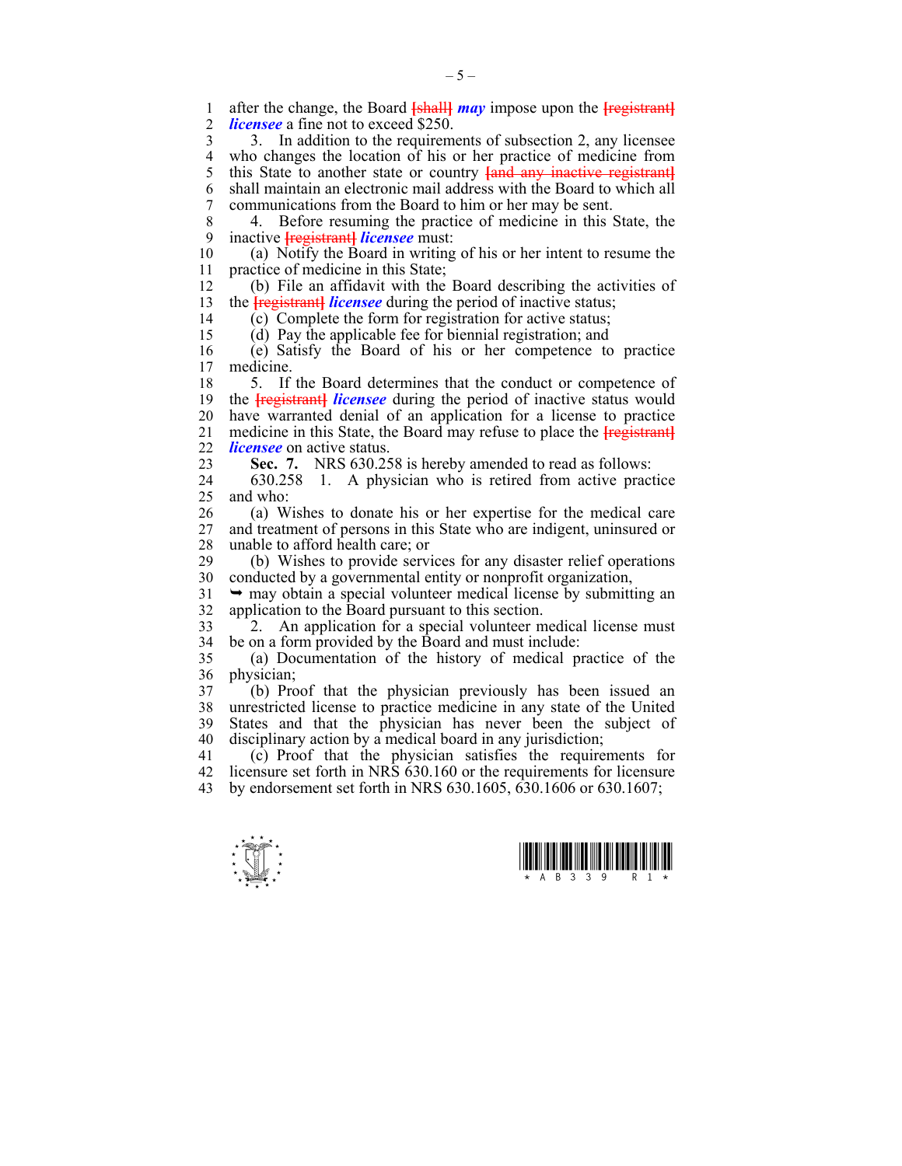1 after the change, the Board **[shall]** *may* impose upon the **[**registrant]<br>2 *licensee* a fine not to exceed \$250 *licensee* a fine not to exceed \$250.

3 3. In addition to the requirements of subsection 2, any licensee 4 who changes the location of his or her practice of medicine from<br>5 this State to another state or country land any inactive registrant this State to another state or country **[and any inactive registrant]** 6 shall maintain an electronic mail address with the Board to which all 7 communications from the Board to him or her may be sent.

8 4. Before resuming the practice of medicine in this State, the 9 inactive **[**registrant**]** *licensee* must:

10 (a) Notify the Board in writing of his or her intent to resume the 11 practice of medicine in this State;

12 (b) File an affidavit with the Board describing the activities of 13 the **Fregistrant** *licensee* during the period of inactive status;

14 (c) Complete the form for registration for active status;

15 (d) Pay the applicable fee for biennial registration; and

16 (e) Satisfy the Board of his or her competence to practice medicine.

18 5. If the Board determines that the conduct or competence of 19 the **[**registrant**]** *licensee* during the period of inactive status would 20 have warranted denial of an application for a license to practice 21 medicine in this State, the Board may refuse to place the **[**registrant**]** 22 *licensee* on active status.

23 **Sec. 7.** NRS 630.258 is hereby amended to read as follows:

24 630.258 1. A physician who is retired from active practice 25 and who:

26 (a) Wishes to donate his or her expertise for the medical care 27 and treatment of persons in this State who are indigent, uninsured or 28 unable to afford health care; or

29 (b) Wishes to provide services for any disaster relief operations 30 conducted by a governmental entity or nonprofit organization,

 $31 \rightarrow$  may obtain a special volunteer medical license by submitting an 32 application to the Board pursuant to this section.

33 2. An application for a special volunteer medical license must 34 be on a form provided by the Board and must include:

35 (a) Documentation of the history of medical practice of the 36 physician;

37 (b) Proof that the physician previously has been issued an 38 unrestricted license to practice medicine in any state of the United 39 States and that the physician has never been the subject of 40 disciplinary action by a medical board in any jurisdiction;

41 (c) Proof that the physician satisfies the requirements for 42 licensure set forth in NRS 630.160 or the requirements for licensure 43 by endorsement set forth in NRS 630.1605, 630.1606 or 630.1607;



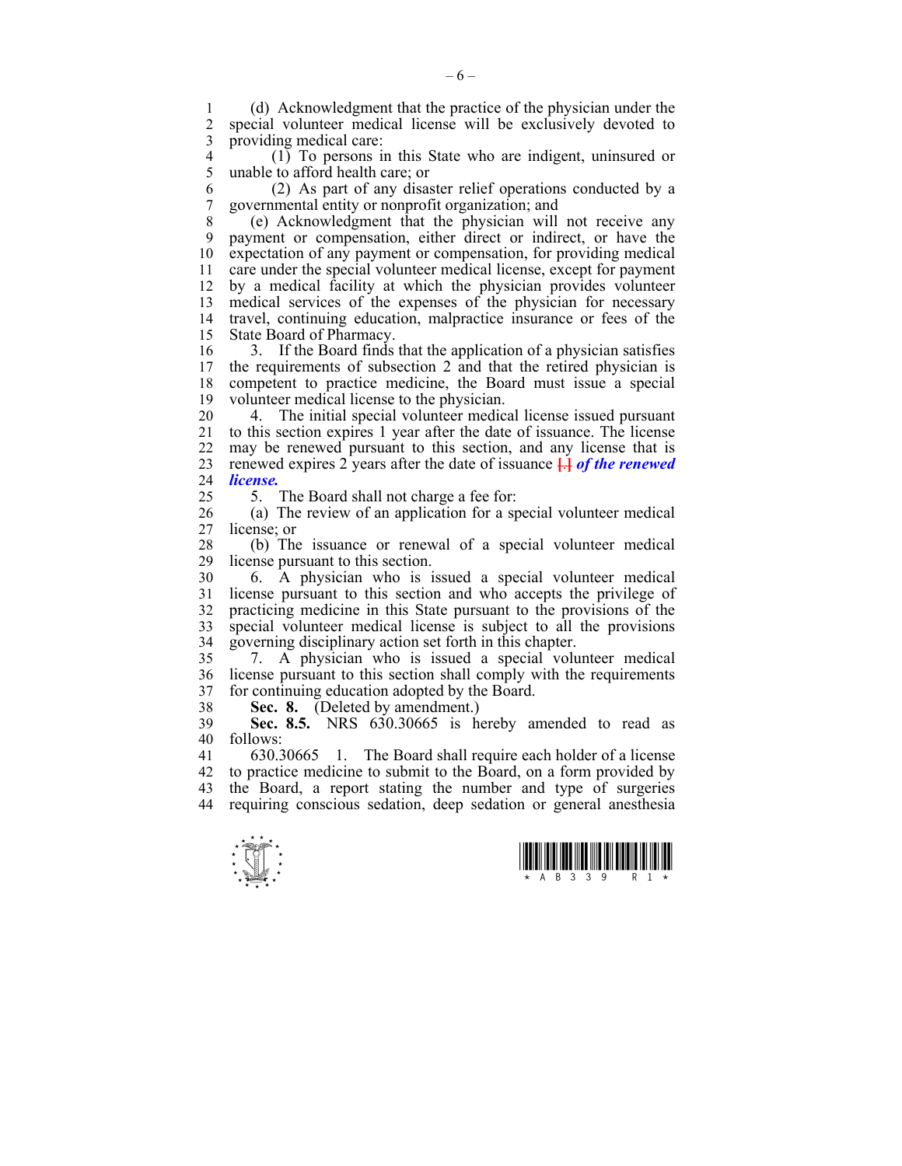1 (d) Acknowledgment that the practice of the physician under the special volunteer medical license will be exclusively devoted to 3 providing medical care:

 $\begin{pmatrix} 1 \end{pmatrix}$  To persons in this State who are indigent, uninsured or 5 unable to afford health care: or 5 unable to afford health care; or

6 (2) As part of any disaster relief operations conducted by a 7 governmental entity or nonprofit organization; and

8 (e) Acknowledgment that the physician will not receive any 9 payment or compensation, either direct or indirect, or have the 10 expectation of any payment or compensation, for providing medical 11 care under the special volunteer medical license, except for payment 12 by a medical facility at which the physician provides volunteer 13 medical services of the expenses of the physician for necessary 14 travel, continuing education, malpractice insurance or fees of the 15 State Board of Pharmacy.

16 3. If the Board finds that the application of a physician satisfies 17 the requirements of subsection 2 and that the retired physician is 18 competent to practice medicine, the Board must issue a special 19 volunteer medical license to the physician.

20 4. The initial special volunteer medical license issued pursuant 21 to this section expires 1 year after the date of issuance. The license 22 may be renewed pursuant to this section, and any license that is 23 renewed expires 2 years after the date of issuance **[**.**]** *of the renewed*  24 *license.*

25 5. The Board shall not charge a fee for:

26 (a) The review of an application for a special volunteer medical 27 license; or

28 (b) The issuance or renewal of a special volunteer medical 29 license pursuant to this section.

30 6. A physician who is issued a special volunteer medical 31 license pursuant to this section and who accepts the privilege of 32 practicing medicine in this State pursuant to the provisions of the 33 special volunteer medical license is subject to all the provisions 34 governing disciplinary action set forth in this chapter.

35 7. A physician who is issued a special volunteer medical 36 license pursuant to this section shall comply with the requirements 37 for continuing education adopted by the Board.

38 **Sec. 8.** (Deleted by amendment.)

39 **Sec. 8.5.** NRS 630.30665 is hereby amended to read as 40 follows:

41 630.30665 1. The Board shall require each holder of a license 42 to practice medicine to submit to the Board, on a form provided by 43 the Board, a report stating the number and type of surgeries 44 requiring conscious sedation, deep sedation or general anesthesia





 $-6 -$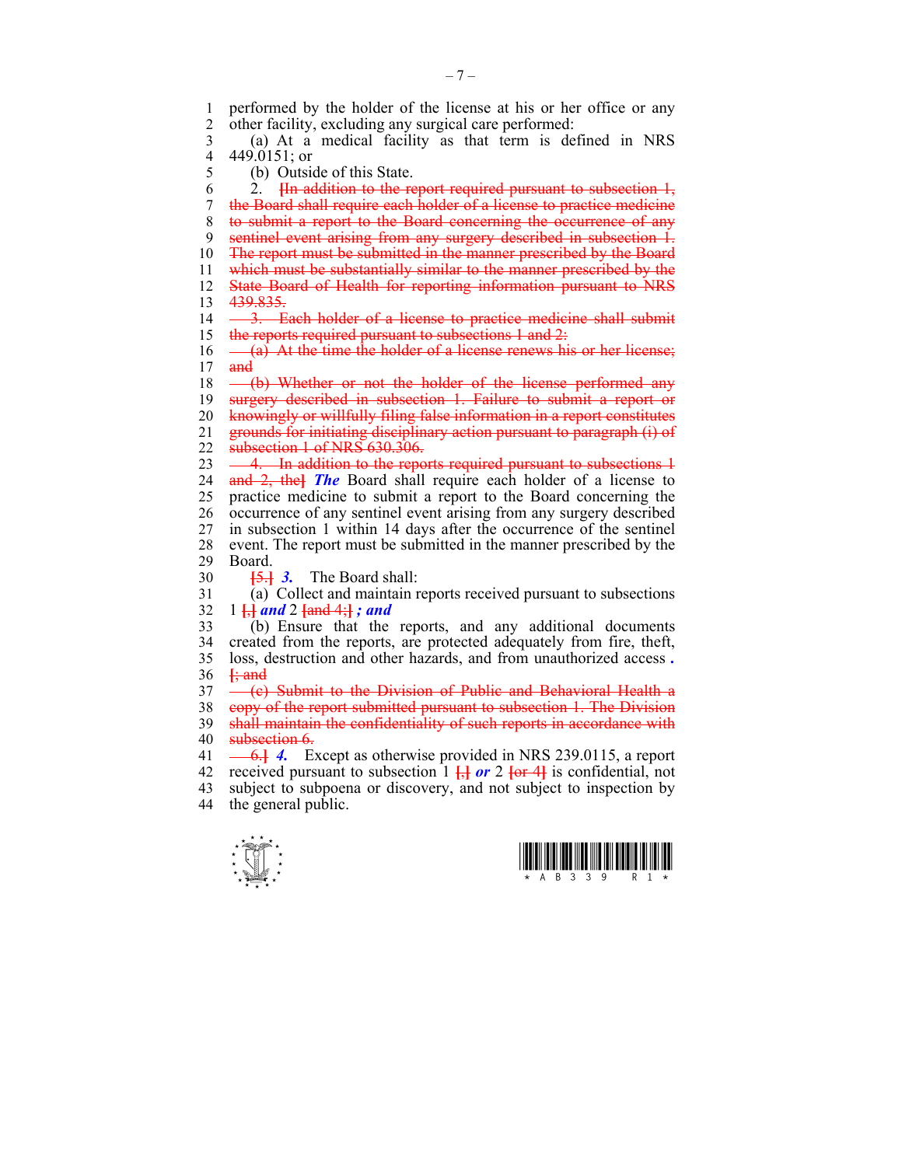1 performed by the holder of the license at his or her office or any<br>2 other facility excluding any surgical care performed other facility, excluding any surgical care performed:

3 (a) At a medical facility as that term is defined in NRS 4 449.0151; or<br>5 (b) Outsi

(b) Outside of this State.

6 2. **[**In addition to the report required pursuant to subsection 1, 7 the Board shall require each holder of a license to practice medicine 8 to submit a report to the Board concerning the occurrence of any 9 sentinel event arising from any surgery described in subsection 1. 10 The report must be submitted in the manner prescribed by the Board 11 which must be substantially similar to the manner prescribed by the 12 State Board of Health for reporting information pursuant to NRS 13 439.835. 14 - 3. Each holder of a license to practice medicine shall submit 15 the reports required pursuant to subsections 1 and 2:  $16 \quad -$  (a) At the time the holder of a license renews his or her license;

 $17$  and

18 – (b) Whether or not the holder of the license performed any

19 surgery described in subsection 1. Failure to submit a report or

20 knowingly or willfully filing false information in a report constitutes

21 grounds for initiating disciplinary action pursuant to paragraph (i) of

- 22 **subsection 1 of NRS 630.306.**
- 23 4. In addition to the reports required pursuant to subsections 4 24 and 2, the**]** *The* Board shall require each holder of a license to

25 practice medicine to submit a report to the Board concerning the 26 occurrence of any sentinel event arising from any surgery described 27 in subsection 1 within 14 days after the occurrence of the sentinel 28 event. The report must be submitted in the manner prescribed by the Board Board.

30 **[**5.**]** *3.* The Board shall:

31 (a) Collect and maintain reports received pursuant to subsections 32 1 **[**,**]** *and* 2 **[**and 4;**]** *; and*

33 (b) Ensure that the reports, and any additional documents 34 created from the reports, are protected adequately from fire, theft, 35 loss, destruction and other hazards, and from unauthorized access *.*  36 **[**; and

 $37 \left($  (e) Submit to the Division of Public and Behavioral Health a

38 copy of the report submitted pursuant to subsection 1. The Division

39 shall maintain the confidentiality of such reports in accordance with

40 subsection 6.

41 6.**]** *4.* Except as otherwise provided in NRS 239.0115, a report 42 received pursuant to subsection  $1 \frac{1}{2}$  or  $2 \frac{1}{2}$  is confidential, not 43 subject to subpoena or discovery, and not subject to inspection by 44 the general public.



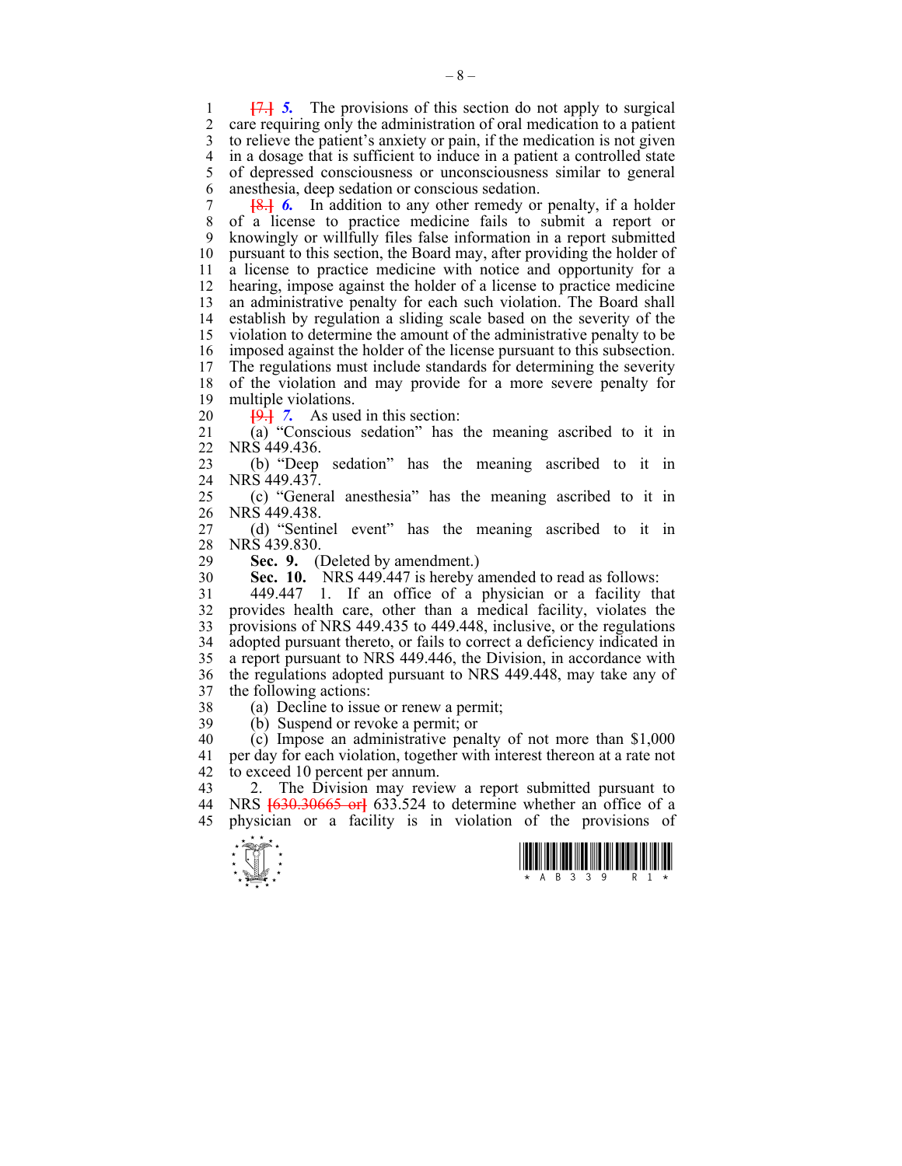1 **[**7.**]** *5.* The provisions of this section do not apply to surgical 2 care requiring only the administration of oral medication to a patient 3 to relieve the patient's anxiety or pain, if the medication is not given 4 in a dosage that is sufficient to induce in a patient a controlled state<br>5 of depressed consciousness or unconsciousness similar to general 5 of depressed consciousness or unconsciousness similar to general 6 anesthesia, deep sedation or conscious sedation.

7 **[**8.**]** *6.* In addition to any other remedy or penalty, if a holder of a license to practice medicine fails to submit a report or 9 knowingly or willfully files false information in a report submitted 10 pursuant to this section, the Board may, after providing the holder of 11 a license to practice medicine with notice and opportunity for a 12 hearing, impose against the holder of a license to practice medicine 13 an administrative penalty for each such violation. The Board shall 14 establish by regulation a sliding scale based on the severity of the 15 violation to determine the amount of the administrative penalty to be 16 imposed against the holder of the license pursuant to this subsection.<br>17 The regulations must include standards for determining the severity The regulations must include standards for determining the severity 18 of the violation and may provide for a more severe penalty for 19 multiple violations.

20 **[**9.**]** *7.* As used in this section:

21 (a) "Conscious sedation" has the meaning ascribed to it in 22 NRS 449.436.

23 (b) "Deep sedation" has the meaning ascribed to it in 24 NRS 449.437.

25 (c) "General anesthesia" has the meaning ascribed to it in 26 NRS 449.438.

27 (d) "Sentinel event" has the meaning ascribed to it in 28 NRS 439.830.<br>29 **Sec. 9.** 0

**Sec. 9.** (Deleted by amendment.)

30 **Sec. 10.** NRS 449.447 is hereby amended to read as follows:

31 449.447 1. If an office of a physician or a facility that 32 provides health care, other than a medical facility, violates the 33 provisions of NRS 449.435 to 449.448, inclusive, or the regulations 34 adopted pursuant thereto, or fails to correct a deficiency indicated in 35 a report pursuant to NRS 449.446, the Division, in accordance with 36 the regulations adopted pursuant to NRS 449.448, may take any of 37 the following actions:

38 (a) Decline to issue or renew a permit; 39 (b) Suspend or revoke a permit; or

 $40$  (c) Impose an administrative penalty of not more than \$1,000 41 per day for each violation, together with interest thereon at a rate not 42 to exceed 10 percent per annum.

43 2. The Division may review a report submitted pursuant to 44 NRS **[**630.30665 or**]** 633.524 to determine whether an office of a 45 physician or a facility is in violation of the provisions of